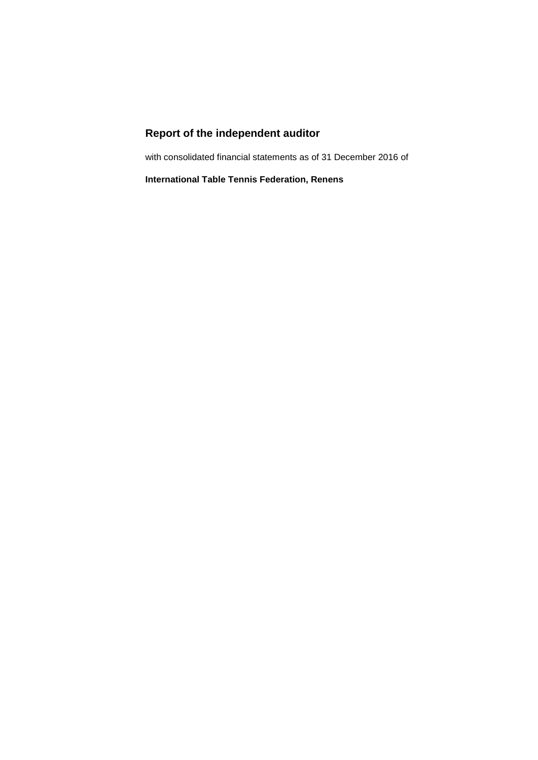# **Report of the independent auditor**

with consolidated financial statements as of 31 December 2016 of

**International Table Tennis Federation, Renens**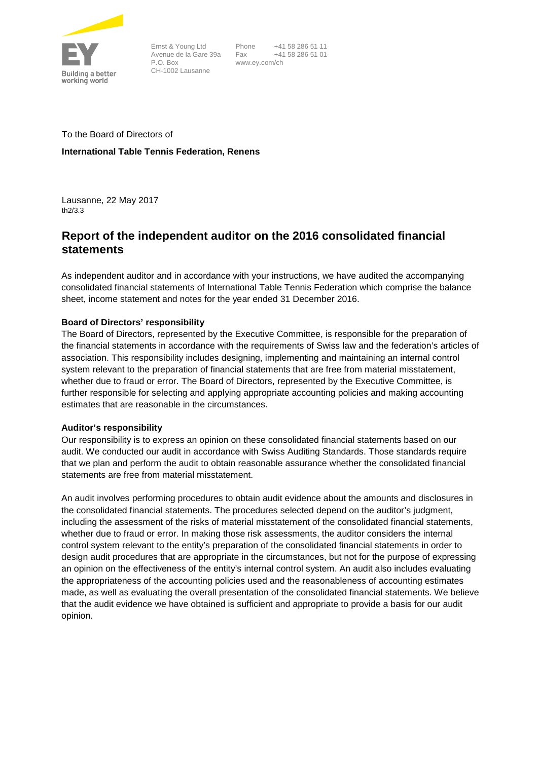

Ernst & Young Ltd Avenue de la Gare 39a P.O. Box CH-1002 Lausanne

Phone +41 58 286 51 11 Fax +41 58 286 51 01 www.ey.com/ch

To the Board of Directors of **International Table Tennis Federation, Renens**

Lausanne, 22 May 2017 th2/3.3

# **Report of the independent auditor on the 2016 consolidated financial statements**

As independent auditor and in accordance with your instructions, we have audited the accompanying consolidated financial statements of International Table Tennis Federation which comprise the balance sheet, income statement and notes for the year ended 31 December 2016.

# **Board of Directors' responsibility**

The Board of Directors, represented by the Executive Committee, is responsible for the preparation of the financial statements in accordance with the requirements of Swiss law and the federation's articles of association. This responsibility includes designing, implementing and maintaining an internal control system relevant to the preparation of financial statements that are free from material misstatement, whether due to fraud or error. The Board of Directors, represented by the Executive Committee, is further responsible for selecting and applying appropriate accounting policies and making accounting estimates that are reasonable in the circumstances.

# **Auditor's responsibility**

Our responsibility is to express an opinion on these consolidated financial statements based on our audit. We conducted our audit in accordance with Swiss Auditing Standards. Those standards require that we plan and perform the audit to obtain reasonable assurance whether the consolidated financial statements are free from material misstatement.

An audit involves performing procedures to obtain audit evidence about the amounts and disclosures in the consolidated financial statements. The procedures selected depend on the auditor's judgment, including the assessment of the risks of material misstatement of the consolidated financial statements, whether due to fraud or error. In making those risk assessments, the auditor considers the internal control system relevant to the entity's preparation of the consolidated financial statements in order to design audit procedures that are appropriate in the circumstances, but not for the purpose of expressing an opinion on the effectiveness of the entity's internal control system. An audit also includes evaluating the appropriateness of the accounting policies used and the reasonableness of accounting estimates made, as well as evaluating the overall presentation of the consolidated financial statements. We believe that the audit evidence we have obtained is sufficient and appropriate to provide a basis for our audit opinion.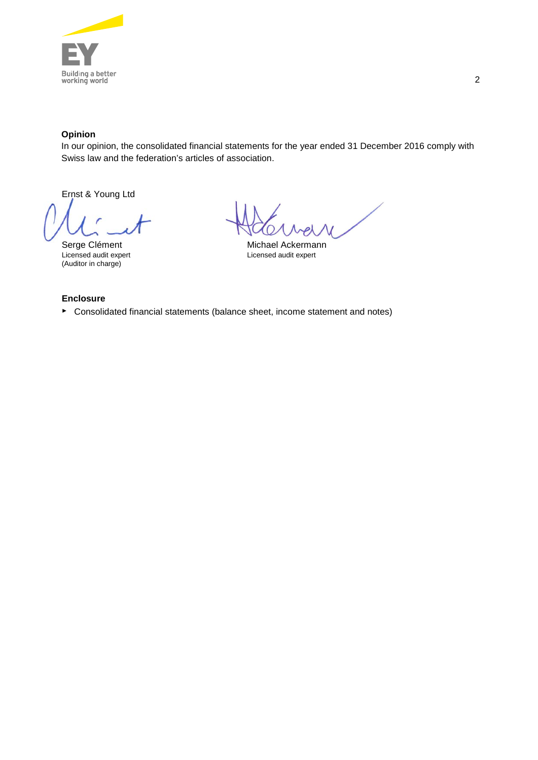

# **Opinion**

In our opinion, the consolidated financial statements for the year ended 31 December 2016 comply with Swiss law and the federation's articles of association.

Ernst & Young Ltd

(Auditor in charge)

Serge Clément<br>
Licensed audit expert<br>
Licensed audit expert<br>
Licensed audit expert Licensed audit expert Licensed audit expert

### **Enclosure**

► Consolidated financial statements (balance sheet, income statement and notes)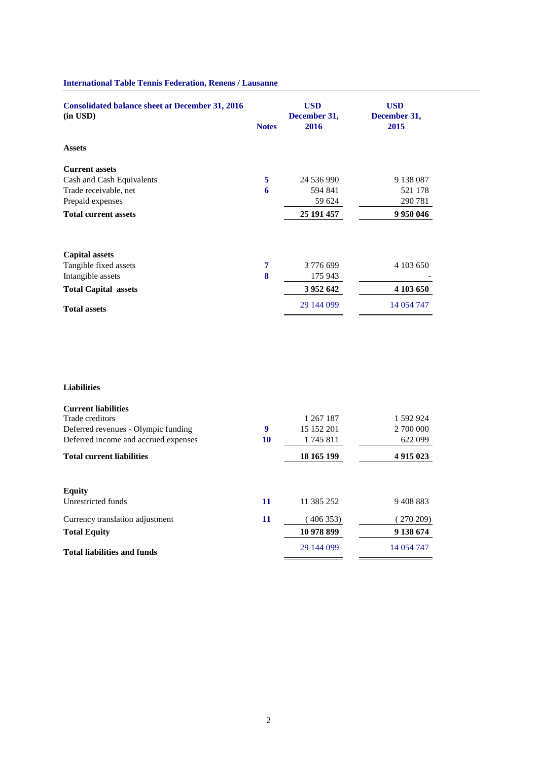| <b>Consolidated balance sheet at December 31, 2016</b><br>$(in$ USD $)$ | <b>Notes</b> | <b>USD</b><br>December 31,<br>2016 | <b>USD</b><br>December 31,<br>2015 |
|-------------------------------------------------------------------------|--------------|------------------------------------|------------------------------------|
| <b>Assets</b>                                                           |              |                                    |                                    |
| <b>Current assets</b>                                                   |              |                                    |                                    |
| Cash and Cash Equivalents                                               | 5            | 24 536 990                         | 9 138 087                          |
| Trade receivable, net                                                   | 6            | 594 841                            | 521 178                            |
| Prepaid expenses                                                        |              | 59 624                             | 290 781                            |
| <b>Total current assets</b>                                             |              | 25 191 457                         | 9 9 50 0 46                        |
| <b>Capital assets</b>                                                   |              |                                    |                                    |
| Tangible fixed assets                                                   | 7            | 3776699                            | 4 103 650                          |
| Intangible assets                                                       | 8            | 175 943                            |                                    |
| <b>Total Capital assets</b>                                             |              | 3 9 5 2 6 4 2                      | 4 103 650                          |
| <b>Total assets</b>                                                     |              | 29 144 099                         | 14 054 747                         |

# **International Table Tennis Federation, Renens / Lausanne**

| <b>Liabilities</b> |  |  |
|--------------------|--|--|
|                    |  |  |

| 1 592 924     |
|---------------|
| 2 700 000     |
| 622 099       |
| 4 9 1 5 0 2 3 |
|               |
|               |
| 9408883       |
| 270 209)      |
| 9 138 674     |
| 14 054 747    |
|               |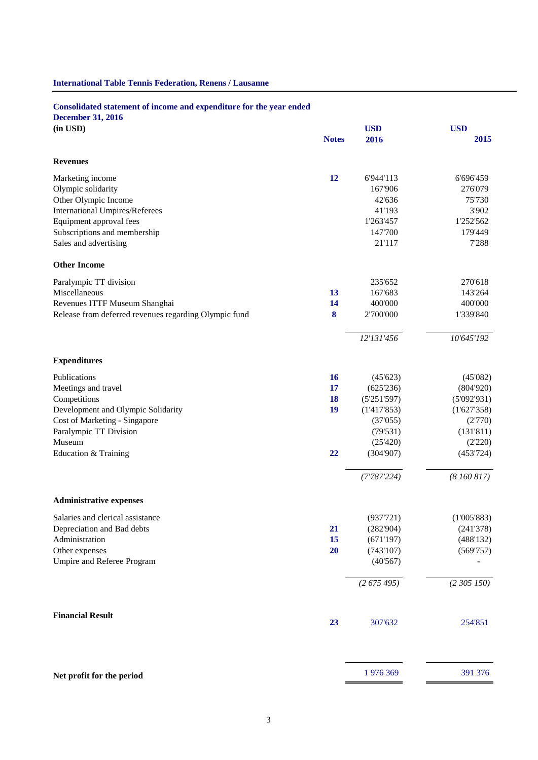# **International Table Tennis Federation, Renens / Lausanne**

# **Consolidated statement of income and expenditure for the year ended**

**December 31, 2016**

| (in USD)                                              |              | <b>USD</b>  | <b>USD</b>  |
|-------------------------------------------------------|--------------|-------------|-------------|
|                                                       | <b>Notes</b> | 2016        | 2015        |
| <b>Revenues</b>                                       |              |             |             |
| Marketing income                                      | 12           | 6'944'113   | 6'696'459   |
| Olympic solidarity                                    |              | 167'906     | 276'079     |
| Other Olympic Income                                  |              | 42'636      | 75'730      |
| <b>International Umpires/Referees</b>                 |              | 41'193      | 3'902       |
| Equipment approval fees                               |              | 1'263'457   | 1'252'562   |
| Subscriptions and membership                          |              | 147'700     | 179'449     |
| Sales and advertising                                 |              | 21'117      | 7'288       |
| <b>Other Income</b>                                   |              |             |             |
| Paralympic TT division                                |              | 235'652     | 270'618     |
| Miscellaneous                                         | 13           | 167'683     | 143'264     |
| Revenues ITTF Museum Shanghai                         | 14           | 400'000     | 400'000     |
| Release from deferred revenues regarding Olympic fund | 8            | 2'700'000   | 1'339'840   |
|                                                       |              | 12'131'456  | 10'645'192  |
| <b>Expenditures</b>                                   |              |             |             |
| Publications                                          | <b>16</b>    | (45'623)    | (45'082)    |
| Meetings and travel                                   | 17           | (625'236)   | (804'920)   |
| Competitions                                          | <b>18</b>    | (5'251'597) | (5'092'931) |
| Development and Olympic Solidarity                    | 19           | (1'417'853) | (1'627'358) |
| Cost of Marketing - Singapore                         |              | (37'055)    | (2'770)     |
| Paralympic TT Division                                |              | (79'531)    | (131'811)   |
| Museum                                                |              | (25'420)    | (2'220)     |
| Education & Training                                  | 22           | (304'907)   | (453'724)   |
|                                                       |              | (7'787'224) | (8160817)   |
| <b>Administrative expenses</b>                        |              |             |             |
| Salaries and clerical assistance                      |              | (937'721)   | (1'005'883) |
| Depreciation and Bad debts                            | <b>21</b>    | (282'904)   | (241'378)   |
| Administration                                        | 15           | (671'197)   | (488'132)   |
| Other expenses                                        | 20           | (743'107)   | (569'757)   |
| Umpire and Referee Program                            |              | (40'567)    |             |
|                                                       |              | (2675495)   | (2,305,150) |
| <b>Financial Result</b>                               | 23           | 307'632     | 254'851     |
|                                                       |              | 1976369     | 391 376     |
| Net profit for the period                             |              |             |             |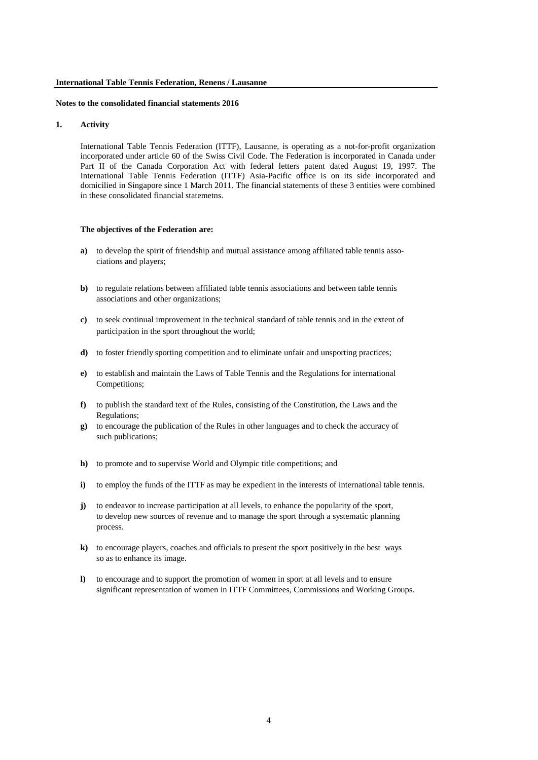#### **1. Activity**

International Table Tennis Federation (ITTF), Lausanne, is operating as a not-for-profit organization incorporated under article 60 of the Swiss Civil Code. The Federation is incorporated in Canada under Part II of the Canada Corporation Act with federal letters patent dated August 19, 1997. The International Table Tennis Federation (ITTF) Asia-Pacific office is on its side incorporated and domicilied in Singapore since 1 March 2011. The financial statements of these 3 entities were combined in these consolidated financial statemetns.

#### **The objectives of the Federation are:**

- **a)** to develop the spirit of friendship and mutual assistance among affiliated table tennis associations and players;
- **b)** to regulate relations between affiliated table tennis associations and between table tennis associations and other organizations;
- **c)** to seek continual improvement in the technical standard of table tennis and in the extent of participation in the sport throughout the world;
- **d)** to foster friendly sporting competition and to eliminate unfair and unsporting practices;
- **e)** to establish and maintain the Laws of Table Tennis and the Regulations for international Competitions;
- **f)** to publish the standard text of the Rules, consisting of the Constitution, the Laws and the Regulations;
- **g)** to encourage the publication of the Rules in other languages and to check the accuracy of such publications;
- **h)** to promote and to supervise World and Olympic title competitions; and
- **i)** to employ the funds of the ITTF as may be expedient in the interests of international table tennis.
- **j)** to endeavor to increase participation at all levels, to enhance the popularity of the sport, to develop new sources of revenue and to manage the sport through a systematic planning process.
- **k)** to encourage players, coaches and officials to present the sport positively in the best ways so as to enhance its image.
- **l)** to encourage and to support the promotion of women in sport at all levels and to ensure significant representation of women in ITTF Committees, Commissions and Working Groups.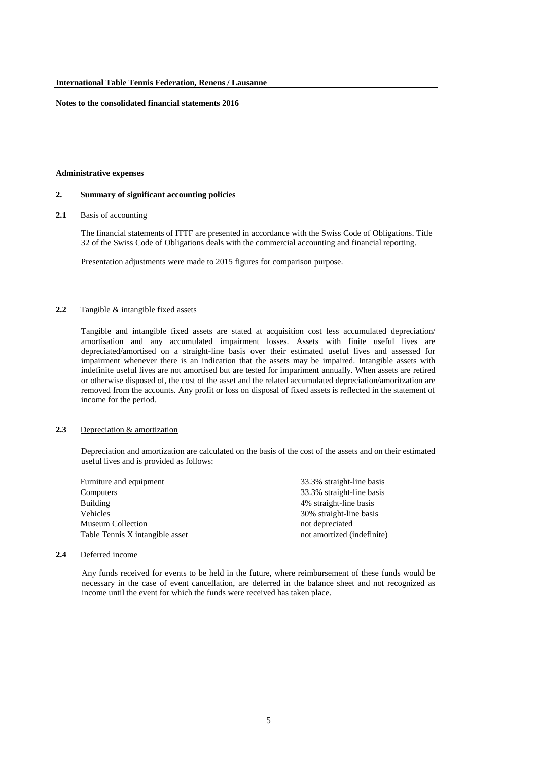#### **Administrative expenses**

#### **2. Summary of significant accounting policies**

#### **2.1** Basis of accounting

The financial statements of ITTF are presented in accordance with the Swiss Code of Obligations. Title 32 of the Swiss Code of Obligations deals with the commercial accounting and financial reporting.

Presentation adjustments were made to 2015 figures for comparison purpose.

#### **2.2** Tangible & intangible fixed assets

Tangible and intangible fixed assets are stated at acquisition cost less accumulated depreciation/ amortisation and any accumulated impairment losses. Assets with finite useful lives are depreciated/amortised on a straight-line basis over their estimated useful lives and assessed for impairment whenever there is an indication that the assets may be impaired. Intangible assets with indefinite useful lives are not amortised but are tested for impariment annually. When assets are retired or otherwise disposed of, the cost of the asset and the related accumulated depreciation/amoritzation are removed from the accounts. Any profit or loss on disposal of fixed assets is reflected in the statement of income for the period.

# **2.3** Depreciation & amortization

Depreciation and amortization are calculated on the basis of the cost of the assets and on their estimated useful lives and is provided as follows:

| Furniture and equipment         | 33.3% straight-line basis  |
|---------------------------------|----------------------------|
| Computers                       | 33.3% straight-line basis  |
| <b>Building</b>                 | 4% straight-line basis     |
| <b>Vehicles</b>                 | 30% straight-line basis    |
| <b>Museum Collection</b>        | not depreciated            |
| Table Tennis X intangible asset | not amortized (indefinite) |

#### **2.4** Deferred income

Any funds received for events to be held in the future, where reimbursement of these funds would be necessary in the case of event cancellation, are deferred in the balance sheet and not recognized as income until the event for which the funds were received has taken place.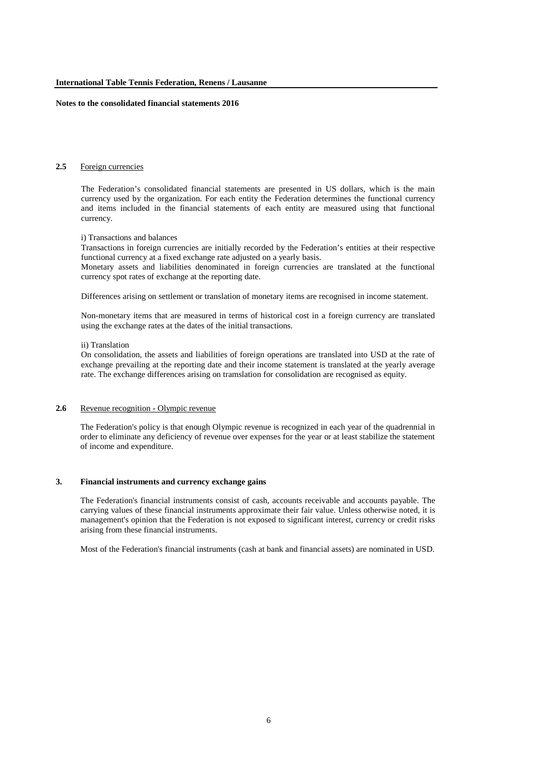# **2.5** Foreign currencies

The Federation's consolidated financial statements are presented in US dollars, which is the main currency used by the organization. For each entity the Federation determines the functional currency and items included in the financial statements of each entity are measured using that functional currency.

#### i) Transactions and balances

Transactions in foreign currencies are initially recorded by the Federation's entities at their respective functional currency at a fixed exchange rate adjusted on a yearly basis.

Monetary assets and liabilities denominated in foreign currencies are translated at the functional currency spot rates of exchange at the reporting date.

Differences arising on settlement or translation of monetary items are recognised in income statement.

Non-monetary items that are measured in terms of historical cost in a foreign currency are translated using the exchange rates at the dates of the initial transactions.

#### ii) Translation

On consolidation, the assets and liabilities of foreign operations are translated into USD at the rate of exchange prevailing at the reporting date and their income statement is translated at the yearly average rate. The exchange differences arising on tramslation for consolidation are recognised as equity.

#### **2.6** Revenue recognition - Olympic revenue

The Federation's policy is that enough Olympic revenue is recognized in each year of the quadrennial in order to eliminate any deficiency of revenue over expenses for the year or at least stabilize the statement of income and expenditure.

### **3. Financial instruments and currency exchange gains**

The Federation's financial instruments consist of cash, accounts receivable and accounts payable. The carrying values of these financial instruments approximate their fair value. Unless otherwise noted, it is management's opinion that the Federation is not exposed to significant interest, currency or credit risks arising from these financial instruments.

Most of the Federation's financial instruments (cash at bank and financial assets) are nominated in USD.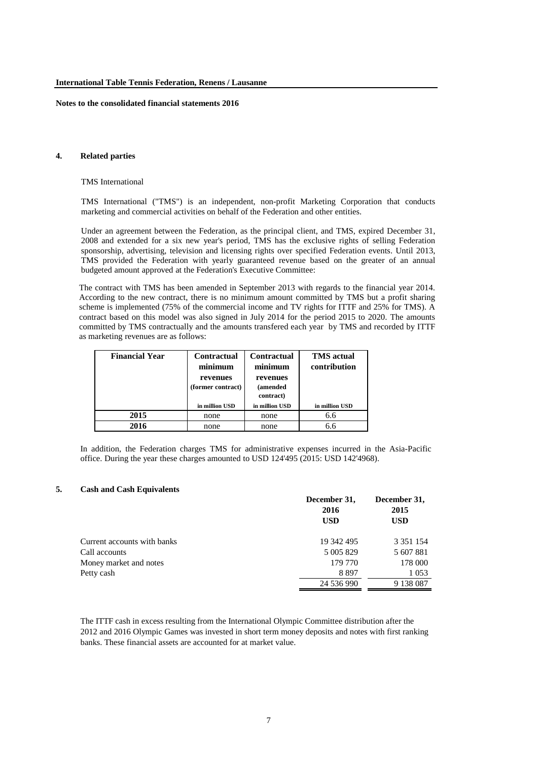### **4. Related parties**

#### TMS International

TMS International ("TMS") is an independent, non-profit Marketing Corporation that conducts marketing and commercial activities on behalf of the Federation and other entities.

Under an agreement between the Federation, as the principal client, and TMS, expired December 31, 2008 and extended for a six new year's period, TMS has the exclusive rights of selling Federation sponsorship, advertising, television and licensing rights over specified Federation events. Until 2013, TMS provided the Federation with yearly guaranteed revenue based on the greater of an annual budgeted amount approved at the Federation's Executive Committee:

The contract with TMS has been amended in September 2013 with regards to the financial year 2014. According to the new contract, there is no minimum amount committed by TMS but a profit sharing scheme is implemented (75% of the commercial income and TV rights for ITTF and 25% for TMS). A contract based on this model was also signed in July 2014 for the period 2015 to 2020. The amounts committed by TMS contractually and the amounts transfered each year by TMS and recorded by ITTF as marketing revenues are as follows:

| <b>Financial Year</b> | Contractual<br>minimum<br>revenues<br>(former contract) | <b>Contractual</b><br>minimum<br>revenues<br>(amended<br>contract) | <b>TMS</b> actual<br>contribution |
|-----------------------|---------------------------------------------------------|--------------------------------------------------------------------|-----------------------------------|
|                       | in million USD                                          | in million USD                                                     | in million USD                    |
| 2015                  | none                                                    | none                                                               | 6.6                               |
| 2016                  | none                                                    | none                                                               | 6.6                               |

In addition, the Federation charges TMS for administrative expenses incurred in the Asia-Pacific office. During the year these charges amounted to USD 124'495 (2015: USD 142'4968).

#### **5. Cash and Cash Equivalents**

|                             | December 31,<br>2016<br><b>USD</b> | December 31,<br>2015<br><b>USD</b> |
|-----------------------------|------------------------------------|------------------------------------|
| Current accounts with banks | 19 342 495                         | 3 3 5 1 1 5 4                      |
| Call accounts               | 5 005 829                          | 5 607 881                          |
| Money market and notes      | 179 770                            | 178 000                            |
| Petty cash                  | 8897                               | 1 0 5 3                            |
|                             | 24 536 990                         | 9 138 087                          |

The ITTF cash in excess resulting from the International Olympic Committee distribution after the 2012 and 2016 Olympic Games was invested in short term money deposits and notes with first ranking banks. These financial assets are accounted for at market value.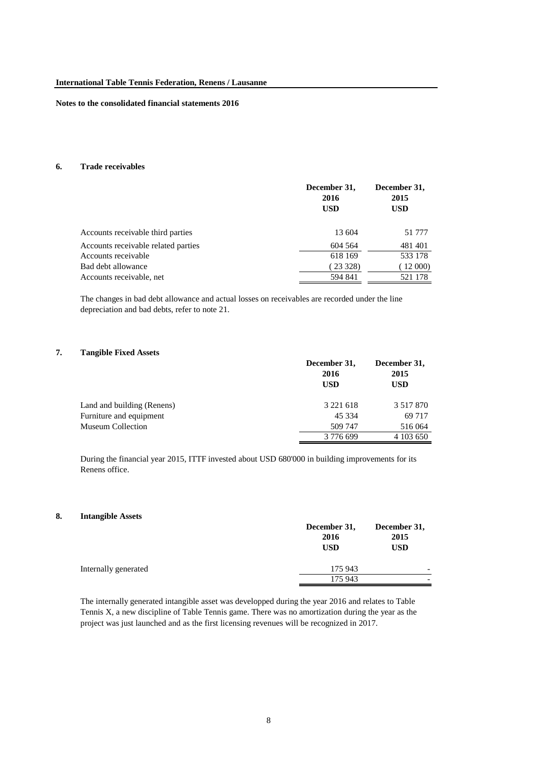### **6. Trade receivables**

|                                     | December 31,<br>2016<br><b>USD</b> | December 31,<br>2015<br><b>USD</b> |
|-------------------------------------|------------------------------------|------------------------------------|
| Accounts receivable third parties   | 13 604                             | 51 777                             |
| Accounts receivable related parties | 604 564                            | 481401                             |
| Accounts receivable                 | 618 169                            | 533 178                            |
| Bad debt allowance                  | (23328)                            | (12000)                            |
| Accounts receivable, net            | 594 841                            | 521 178                            |

The changes in bad debt allowance and actual losses on receivables are recorded under the line depreciation and bad debts, refer to note 21.

#### **7. Tangible Fixed Assets**

|                            | December 31,<br>2016<br><b>USD</b> | December 31,<br>2015<br><b>USD</b> |
|----------------------------|------------------------------------|------------------------------------|
| Land and building (Renens) | 3 2 2 1 6 1 8                      | 3 5 1 7 8 7 0                      |
| Furniture and equipment    | 45 3 3 4                           | 69 717                             |
| <b>Museum Collection</b>   | 509 747                            | 516 064                            |
|                            | 3 776 699                          | 4 103 650                          |

During the financial year 2015, ITTF invested about USD 680'000 in building improvements for its Renens office.

#### **8. Intangible Assets**

|                      | December 31,<br>2016<br><b>USD</b> | December 31,<br>2015<br><b>USD</b> |
|----------------------|------------------------------------|------------------------------------|
| Internally generated | 175 943                            | $\overline{\phantom{a}}$           |
|                      | 175 943                            |                                    |

The internally generated intangible asset was developped during the year 2016 and relates to Table Tennis X, a new discipline of Table Tennis game. There was no amortization during the year as the project was just launched and as the first licensing revenues will be recognized in 2017.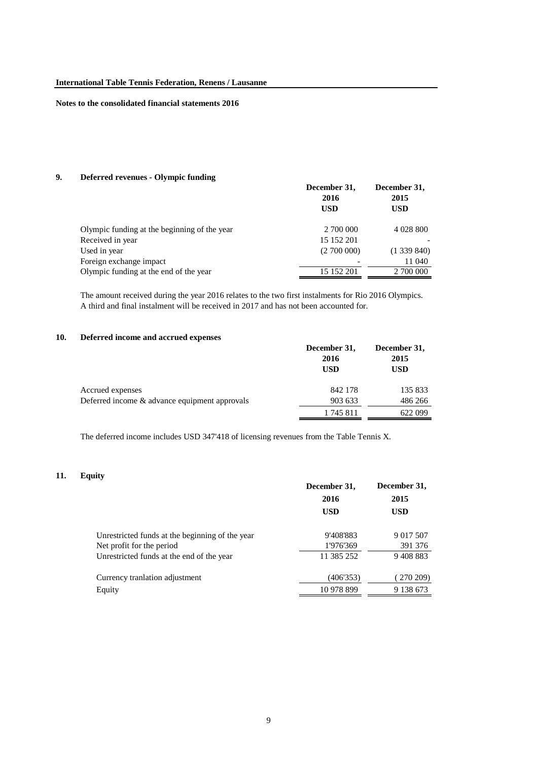# **9. Deferred revenues - Olympic funding**

|                                              | December 31,<br>2016<br><b>USD</b> | December 31,<br>2015<br>USD |
|----------------------------------------------|------------------------------------|-----------------------------|
| Olympic funding at the beginning of the year | 2 700 000                          | 4 0 28 8 0 0                |
| Received in year                             | 15 152 201                         |                             |
| Used in year                                 | (2700000)                          | (1339840)                   |
| Foreign exchange impact                      |                                    | 11 040                      |
| Olympic funding at the end of the year       | 15 152 201                         | 2 700 000                   |
|                                              |                                    |                             |

The amount received during the year 2016 relates to the two first instalments for Rio 2016 Olympics. A third and final instalment will be received in 2017 and has not been accounted for.

### **10. Deferred income and accrued expenses**

|                                               | December 31,<br>2016<br><b>USD</b> | December 31,<br>2015<br><b>USD</b> |
|-----------------------------------------------|------------------------------------|------------------------------------|
| Accrued expenses                              | 842 178                            | 135 833                            |
| Deferred income & advance equipment approvals | 903 633                            | 486 266                            |
|                                               | 1745811                            | 622 099                            |

The deferred income includes USD 347'418 of licensing revenues from the Table Tennis X.

### **11. Equity**

| December 31,<br>2016 | December 31,<br>2015 |
|----------------------|----------------------|
| <b>USD</b>           | <b>USD</b>           |
| 9'408'883            | 9 017 507            |
| 1'976'369            | 391 376              |
| 11 385 252           | 9408883              |
| (406'353)            | 270 209)             |
| 10 978 899           | 9 138 673            |
|                      |                      |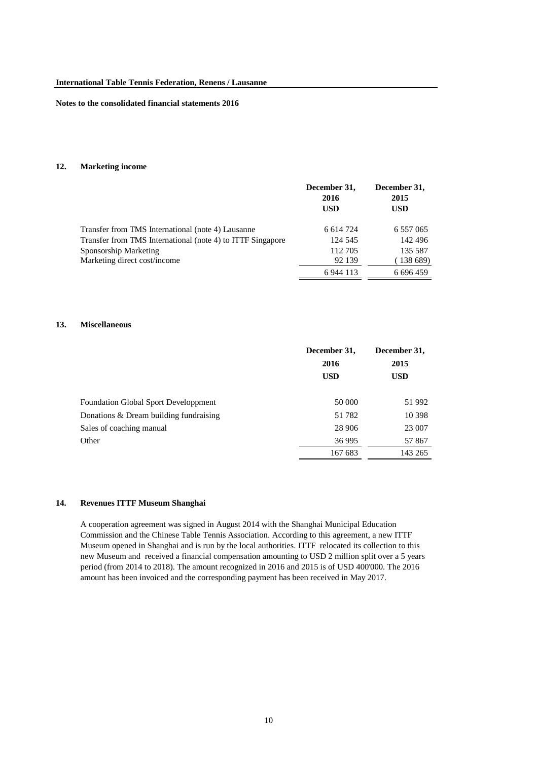## **12. Marketing income**

|                                                            | December 31,<br>2016<br><b>USD</b> | December 31,<br>2015<br><b>USD</b> |
|------------------------------------------------------------|------------------------------------|------------------------------------|
| Transfer from TMS International (note 4) Lausanne          | 6 6 14 7 24                        | 6 5 5 7 0 6 5                      |
| Transfer from TMS International (note 4) to ITTF Singapore | 124 545                            | 142 496                            |
| Sponsorship Marketing                                      | 112 705                            | 135 587                            |
| Marketing direct cost/income                               | 92 139                             | (138 689)                          |
|                                                            | 6 9 4 1 1 1 3                      | 6 696 459                          |

#### **13. Miscellaneous**

|                                             | December 31,<br>2016<br><b>USD</b> | December 31,<br>2015<br><b>USD</b> |
|---------------------------------------------|------------------------------------|------------------------------------|
|                                             |                                    |                                    |
|                                             |                                    |                                    |
|                                             |                                    |                                    |
| <b>Foundation Global Sport Developpment</b> | 50 000                             | 51 992                             |
| Donations $\&$ Dream building fundraising   | 51 782                             | 10 3 98                            |
| Sales of coaching manual                    | 28 906                             | 23 007                             |
| Other                                       | 36 995                             | 57 867                             |
|                                             | 167 683                            | 143 265                            |

# **14. Revenues ITTF Museum Shanghai**

A cooperation agreement was signed in August 2014 with the Shanghai Municipal Education Commission and the Chinese Table Tennis Association. According to this agreement, a new ITTF Museum opened in Shanghai and is run by the local authorities. ITTF relocated its collection to this new Museum and received a financial compensation amounting to USD 2 million split over a 5 years period (from 2014 to 2018). The amount recognized in 2016 and 2015 is of USD 400'000. The 2016 amount has been invoiced and the corresponding payment has been received in May 2017.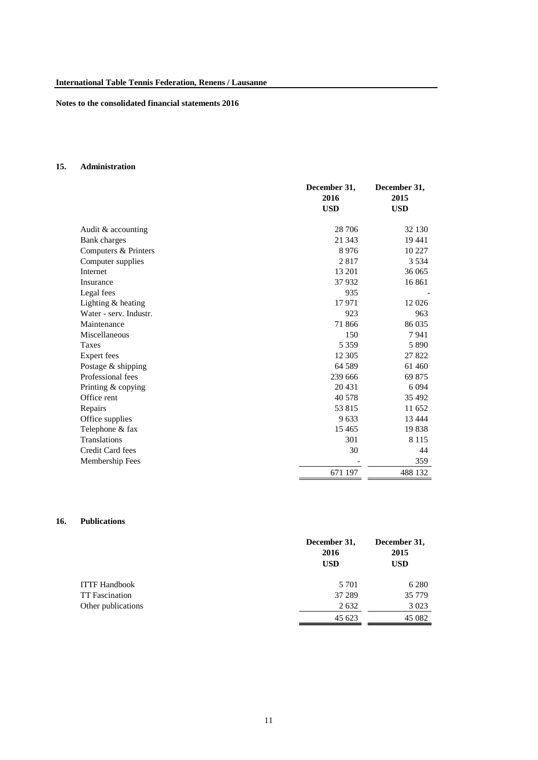# **15. Administration**

|                        | December 31, | December 31, |
|------------------------|--------------|--------------|
|                        | 2016         | 2015         |
|                        | <b>USD</b>   | <b>USD</b>   |
|                        |              |              |
| Audit & accounting     | 28 70 6      | 32 130       |
| <b>Bank</b> charges    | 21 3 4 3     | 19441        |
| Computers & Printers   | 8976         | 10 227       |
| Computer supplies      | 2817         | 3 5 3 4      |
| Internet               | 13 201       | 36 065       |
| Insurance              | 37932        | 16 861       |
| Legal fees             | 935          |              |
| Lighting $&$ heating   | 17971        | 12 0 26      |
| Water - serv. Industr. | 923          | 963          |
| Maintenance            | 71 866       | 86 035       |
| Miscellaneous          | 150          | 7941         |
| <b>Taxes</b>           | 5 3 5 9      | 5890         |
| Expert fees            | 12 3 05      | 27822        |
| Postage & shipping     | 64 5 89      | 61 460       |
| Professional fees      | 239 666      | 69 875       |
| Printing & copying     | 20 4 31      | 6 0 9 4      |
| Office rent            | 40 578       | 35 492       |
| Repairs                | 53 815       | 11 652       |
| Office supplies        | 9633         | 13 4 44      |
| Telephone & fax        | 15 4 65      | 19838        |
| <b>Translations</b>    | 301          | 8 1 1 5      |
| Credit Card fees       | 30           | 44           |
| Membership Fees        |              | 359          |
|                        | 671 197      | 488 132      |

# **16. Publications**

|                       | December 31,<br>2016<br><b>USD</b> | December 31,<br>2015<br><b>USD</b> |
|-----------------------|------------------------------------|------------------------------------|
| <b>ITTF Handbook</b>  | 5 7 0 1                            | 6 2 8 0                            |
| <b>TT</b> Fascination | 37 289                             | 35 779                             |
| Other publications    | 2 6 3 2                            | 3 0 2 3                            |
|                       | 45 623                             | 45 082                             |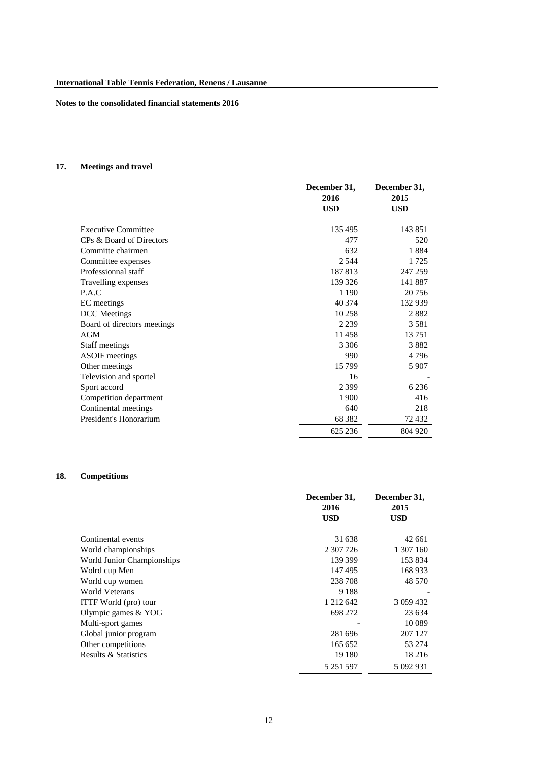# **17. Meetings and travel**

|                             | December 31, | December 31, |
|-----------------------------|--------------|--------------|
|                             | 2016         | 2015         |
|                             | <b>USD</b>   | <b>USD</b>   |
|                             |              |              |
| <b>Executive Committee</b>  | 135 495      | 143 851      |
| CPs & Board of Directors    | 477          | 520          |
| Committe chairmen           | 632          | 1884         |
| Committee expenses          | 2 5 4 4      | 1 7 2 5      |
| Professionnal staff         | 187813       | 247 259      |
| Travelling expenses         | 139 326      | 141 887      |
| P.A.C                       | 1 190        | 20 75 6      |
| EC meetings                 | 40 374       | 132 939      |
| <b>DCC</b> Meetings         | 10 258       | 2882         |
| Board of directors meetings | 2 2 3 9      | 3 5 8 1      |
| AGM                         | 11 458       | 13751        |
| Staff meetings              | 3 3 0 6      | 3882         |
| <b>ASOIF</b> meetings       | 990          | 4796         |
| Other meetings              | 15 799       | 5 907        |
| Television and sportel      | 16           |              |
| Sport accord                | 2 3 9 9      | 6 2 3 6      |
| Competition department      | 1 900        | 416          |
| Continental meetings        | 640          | 218          |
| President's Honorarium      | 68 3 82      | 72 432       |
|                             | 625 236      | 804 920      |

# **18. Competitions**

|                              | December 31,<br>2016 | December 31,<br>2015 |
|------------------------------|----------------------|----------------------|
|                              | <b>USD</b>           | <b>USD</b>           |
| Continental events           | 31 638               | 42 661               |
| World championships          | 2 307 726            | 1 307 160            |
| World Junior Championships   | 139 399              | 153 834              |
| Wolrd cup Men                | 147495               | 168 933              |
| World cup women              | 238 708              | 48 570               |
| World Veterans               | 9 1 8 8              |                      |
| <b>ITTF</b> World (pro) tour | 1 212 642            | 3 0 59 4 32          |
| Olympic games $& YOG$        | 698 272              | 23 634               |
| Multi-sport games            |                      | 10 0 89              |
| Global junior program        | 281 696              | 207 127              |
| Other competitions           | 165 652              | 53 274               |
| Results & Statistics         | 19 180               | 18 216               |
|                              | 5 251 597            | 5 092 931            |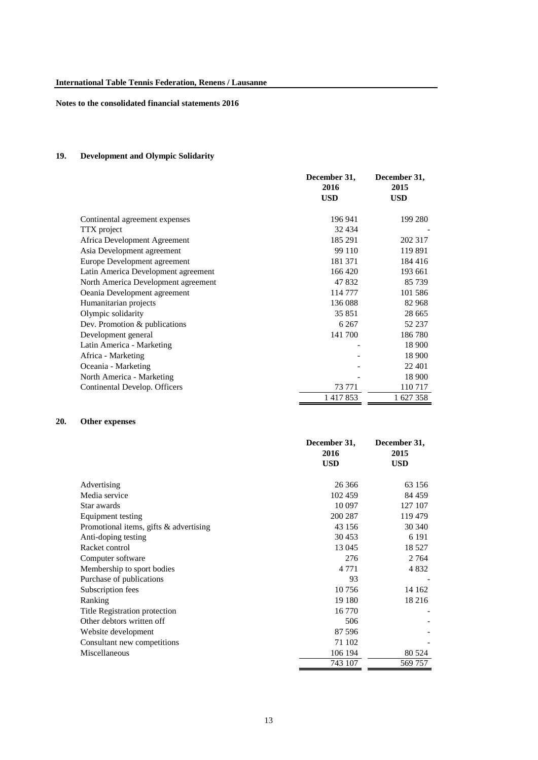# **19. Development and Olympic Solidarity**

|                                     | December 31,<br>2016<br><b>USD</b> | December 31,<br>2015<br><b>USD</b> |
|-------------------------------------|------------------------------------|------------------------------------|
| Continental agreement expenses      | 196 941                            | 199 280                            |
| <b>TTX</b> project                  | 32 4 34                            |                                    |
| Africa Development Agreement        | 185 291                            | 202 317                            |
| Asia Development agreement          | 99 110                             | 119 891                            |
| Europe Development agreement        | 181371                             | 184 416                            |
| Latin America Development agreement | 166 420                            | 193 661                            |
| North America Development agreement | 47 832                             | 85 739                             |
| Oeania Development agreement        | 114 777                            | 101 586                            |
| Humanitarian projects               | 136 088                            | 82 968                             |
| Olympic solidarity                  | 35 851                             | 28 6 65                            |
| Dev. Promotion & publications       | 6 2 6 7                            | 52 237                             |
| Development general                 | 141 700                            | 186780                             |
| Latin America - Marketing           |                                    | 18 900                             |
| Africa - Marketing                  |                                    | 18 900                             |
| Oceania - Marketing                 |                                    | 22 401                             |
| North America - Marketing           |                                    | 18 900                             |
| Continental Develop. Officers       | 73 771                             | 110 717                            |
|                                     | 1417853                            | 1 627 358                          |

# **20. Other expenses**

|                                        | December 31, | December 31, |
|----------------------------------------|--------------|--------------|
|                                        | 2016         | 2015         |
|                                        | <b>USD</b>   | <b>USD</b>   |
|                                        |              |              |
| Advertising                            | 26 36 6      | 63 156       |
| Media service                          | 102 459      | 84 459       |
| Star awards                            | 10 097       | 127 107      |
| Equipment testing                      | 200 287      | 119 479      |
| Promotional items, gifts & advertising | 43 156       | 30 340       |
| Anti-doping testing                    | 30 453       | 6 1 9 1      |
| Racket control                         | 13 045       | 18 527       |
| Computer software                      | 276          | 2 7 6 4      |
| Membership to sport bodies             | 4 7 7 1      | 4 8 3 2      |
| Purchase of publications               | 93           |              |
| Subscription fees                      | 10756        | 14 162       |
| Ranking                                | 19 180       | 18 216       |
| Title Registration protection          | 16 770       |              |
| Other debtors written off              | 506          |              |
| Website development                    | 87 596       |              |
| Consultant new competitions            | 71 102       |              |
| Miscellaneous                          | 106 194      | 80 524       |
|                                        | 743 107      | 569 757      |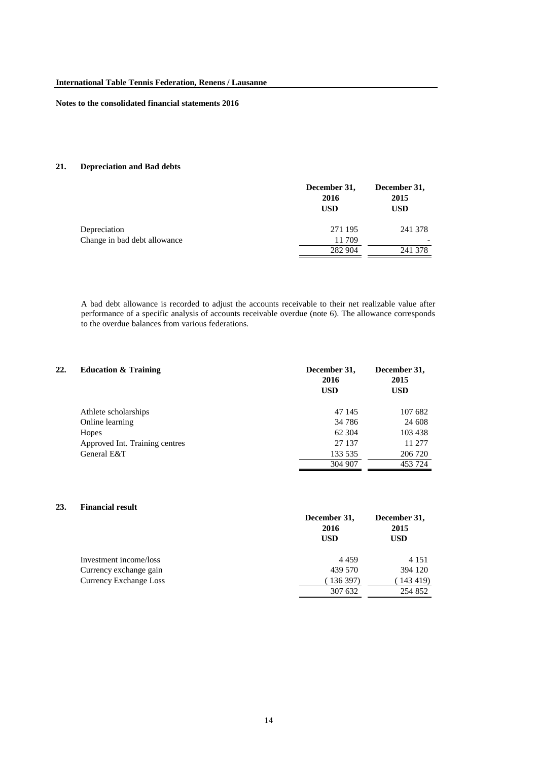# **21. Depreciation and Bad debts**

|                              | December 31,<br>2016<br><b>USD</b> | December 31,<br>2015<br>USD |
|------------------------------|------------------------------------|-----------------------------|
| Depreciation                 | 271 195                            | 241 378                     |
| Change in bad debt allowance | 11 709                             |                             |
|                              | 282 904                            | 241 378                     |

A bad debt allowance is recorded to adjust the accounts receivable to their net realizable value after performance of a specific analysis of accounts receivable overdue (note 6). The allowance corresponds to the overdue balances from various federations.

| 22. | <b>Education &amp; Training</b> | December 31,<br>2016<br><b>USD</b> | December 31,<br>2015<br><b>USD</b> |
|-----|---------------------------------|------------------------------------|------------------------------------|
|     | Athlete scholarships            | 47 145                             | 107 682                            |
|     | Online learning                 | 34 78 6                            | 24 608                             |
|     | Hopes                           | 62 304                             | 103 438                            |
|     | Approved Int. Training centres  | 27 137                             | 11 277                             |
|     | General E&T                     | 133 535                            | 206 720                            |
|     |                                 | 304 907                            | 453 724                            |

#### **23. Financial result**

|                               | December 31,<br>2016<br><b>USD</b> | December 31,<br>2015<br><b>USD</b> |
|-------------------------------|------------------------------------|------------------------------------|
| Investment income/loss        | 4459                               | 4 1 5 1                            |
| Currency exchange gain        | 439 570                            | 394 120                            |
| <b>Currency Exchange Loss</b> | 136397                             | (143 419)                          |
|                               | 307 632                            | 254 852                            |